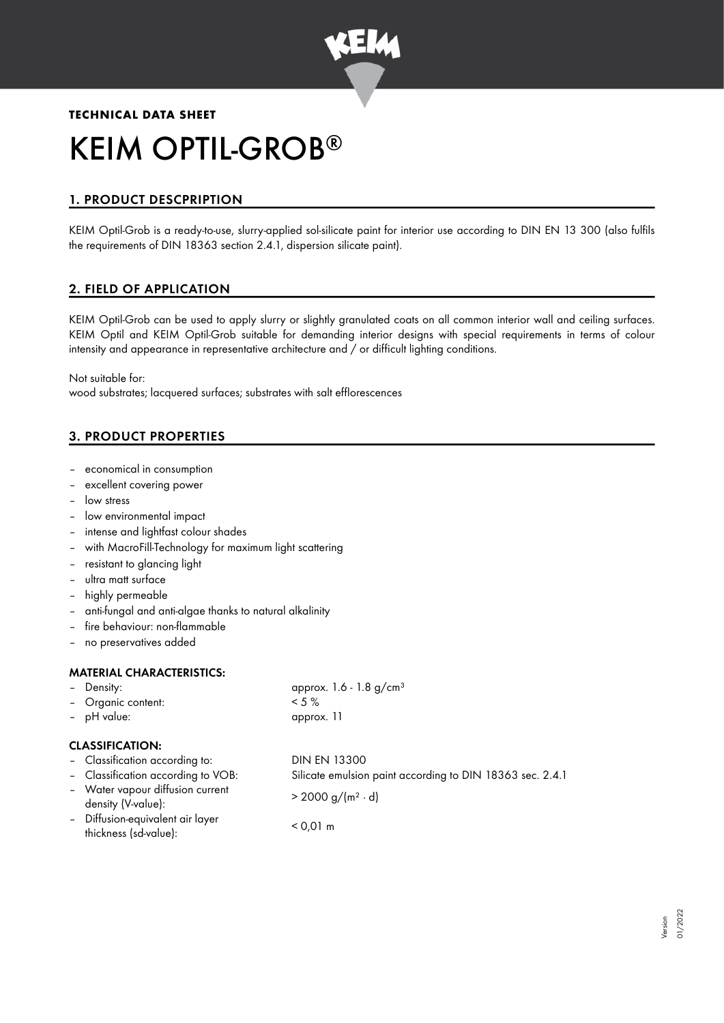

# **TECHNICAL DATA SHEET** KEIM OPTIL-GROB ®

# 1. PRODUCT DESCPRIPTION

KEIM Optil-Grob is a ready-to-use, slurry-applied sol-silicate paint for interior use according to DIN EN 13 300 (also fulfils the requirements of DIN 18363 section 2.4.1, dispersion silicate paint).

# 2. FIELD OF APPLICATION

KEIM Optil-Grob can be used to apply slurry or slightly granulated coats on all common interior wall and ceiling surfaces. KEIM Optil and KEIM Optil-Grob suitable for demanding interior designs with special requirements in terms of colour intensity and appearance in representative architecture and / or difficult lighting conditions.

Not suitable for: wood substrates; lacquered surfaces; substrates with salt efflorescences

# 3. PRODUCT PROPERTIES

- economical in consumption
- excellent covering power
- low stress
- low environmental impact
- intense and lightfast colour shades
- with MacroFill-Technology for maximum light scattering
- resistant to glancing light
- ultra matt surface
- highly permeable
- anti-fungal and anti-algae thanks to natural alkalinity
- fire behaviour: non-flammable
- no preservatives added

## MATERIAL CHARACTERISTICS:

| - Density:         | approx. 1.6 - 1.8 $g/cm^{3}$ |
|--------------------|------------------------------|
| - Organic content: | $< 5 \%$                     |
| - pH value:        | approx. 11                   |

#### CLASSIFICATION:

– Classification according to: DIN EN 13300 – Classification according to VOB: Silicate emulsion paint according to DIN 18363 sec. 2.4.1 – Water vapour diffusion current  $\frac{d}{dx}$  > 2000 g/(m<sup>2</sup> · d)<br>density (V-value): – Diffusion-equivalent air layer thickness (sd-value): < 0,01 m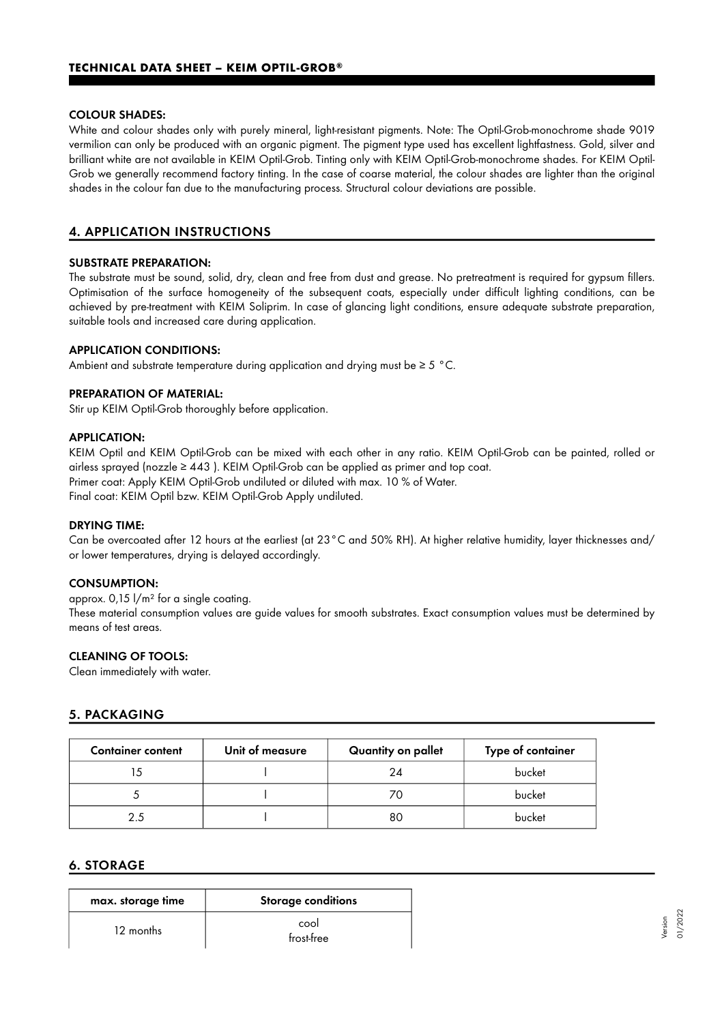#### COLOUR SHADES:

White and colour shades only with purely mineral, light-resistant pigments. Note: The Optil-Grob-monochrome shade 9019 vermilion can only be produced with an organic pigment. The pigment type used has excellent lightfastness. Gold, silver and brilliant white are not available in KEIM Optil-Grob. Tinting only with KEIM Optil-Grob-monochrome shades. For KEIM Optil-Grob we generally recommend factory tinting. In the case of coarse material, the colour shades are lighter than the original shades in the colour fan due to the manufacturing process. Structural colour deviations are possible.

# 4. APPLICATION INSTRUCTIONS

#### SUBSTRATE PREPARATION:

The substrate must be sound, solid, dry, clean and free from dust and grease. No pretreatment is required for gypsum fillers. Optimisation of the surface homogeneity of the subsequent coats, especially under difficult lighting conditions, can be achieved by pre-treatment with KEIM Soliprim. In case of glancing light conditions, ensure adequate substrate preparation, suitable tools and increased care during application.

#### APPLICATION CONDITIONS:

Ambient and substrate temperature during application and drying must be  $\geq 5$  °C.

#### PREPARATION OF MATERIAL:

Stir up KEIM Optil-Grob thoroughly before application.

#### APPLICATION:

KEIM Optil and KEIM Optil-Grob can be mixed with each other in any ratio. KEIM Optil-Grob can be painted, rolled or airless sprayed (nozzle  $\geq 443$ ). KEIM Optil-Grob can be applied as primer and top coat. Primer coat: Apply KEIM Optil-Grob undiluted or diluted with max. 10 % of Water. Final coat: KEIM Optil bzw. KEIM Optil-Grob Apply undiluted.

#### DRYING TIME:

Can be overcoated after 12 hours at the earliest (at 23°C and 50% RH). At higher relative humidity, layer thicknesses and/ or lower temperatures, drying is delayed accordingly.

#### CONSUMPTION:

approx. 0,15 l/m² for a single coating.

These material consumption values are guide values for smooth substrates. Exact consumption values must be determined by means of test areas.

## CLEANING OF TOOLS:

Clean immediately with water.

## 5. PACKAGING

| <b>Container content</b> | Unit of measure | Quantity on pallet | Type of container |
|--------------------------|-----------------|--------------------|-------------------|
|                          |                 | 24                 | bucket            |
|                          |                 |                    | bucket            |
| つく                       |                 | 80                 | bucket            |

## 6. STORAGE

| max. storage time | <b>Storage conditions</b> |
|-------------------|---------------------------|
| 12 months         | cool<br>frost-free        |